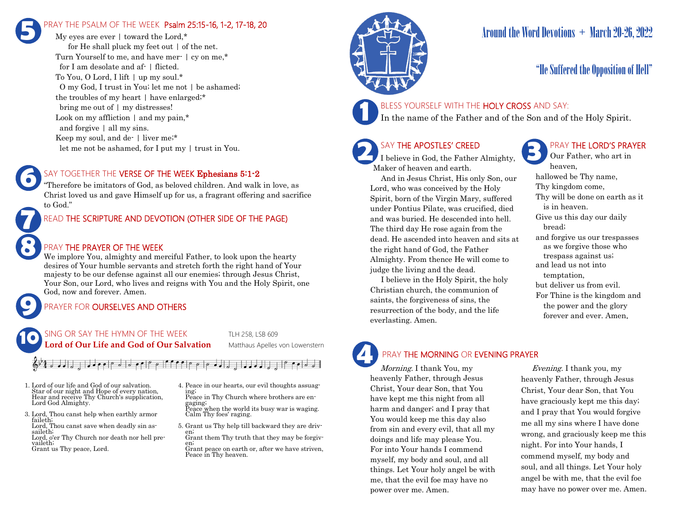## PRAY THE PSALM OF THE WEEK Psalm 25:15-16, 1-2, 17-18, 20 **5**

My eyes are ever | toward the Lord.\* for He shall pluck my feet out | of the net. Turn Yourself to me, and have mer- | cy on me,\* for I am desolate and af- | flicted. To You, O Lord, I lift | up my soul.\* O my God, I trust in You; let me not | be ashamed; the troubles of my heart | have enlarged;\* bring me out of | my distresses! Look on my affliction | and my pain,\* and forgive | all my sins. Keep my soul, and de- | liver me;\* let me not be ashamed, for I put my | trust in You.

### SAY TOGETHER THE VERSE OF THE WEEK Ephesians 5:1-2

"Therefore be imitators of God, as beloved children. And walk in love, as Christ loved us and gave Himself up for us, a fragrant offering and sacrifice to God."

## READ THE SCRIPTURE AND DEVOTION (OTHER SIDE OF THE PAGE)

## PRAY THE PRAYER OF THE WEEK

We implore You, almighty and merciful Father, to look upon the hearty desires of Your humble servants and stretch forth the right hand of Your majesty to be our defense against all our enemies; through Jesus Christ, Your Son, our Lord, who lives and reigns with You and the Holy Spirit, one God, now and forever. Amen.

## PRAYER FOR **OURSELVES AND OTHERS**

SING OR SAY THE HYMN OF THE WEEK TLH 258, LSB 609 Lord of Our Life and God of Our Salvation Matthaus Apelles von Lowenstern **10**

## 

1. Lord of our life and God of our salvation. Star of our night and Hope of every nation, Hear and receive Thy Church's supplication, Lord God Almighty.

**9**

**8**

**7**

**6**

- 3. Lord, Thou canst help when earthly armor faileth; Lord, Thou canst save when deadly sin assaileth; Lord, o'er Thy Church nor death nor hell prevaileth; Grant us Thy peace, Lord.
- 4. Peace in our hearts, our evil thoughts assuaging; Peace in Thy Church where brothers are en
	- gaging; Peace when the world its busy war is waging. Calm Thy foes' raging.
- 5. Grant us Thy help till backward they are driven;
- Grant them Thy truth that they may be forgiven;
- Grant peace on earth or, after we have striven, Peace in Thy heaven.



## Around the Word Devotions  $+$  March 20-26, 2022

## "He Suffered the Opposition of Hell"

## BLESS YOURSELF WITH THE HOLY CROSS AND SAY:

In the name of the Father and of the Son and of the Holy Spirit.

## SAY THE APOSTLES' CREED

I believe in God, the Father Almighty, Maker of heaven and earth.

 And in Jesus Christ, His only Son, our Lord, who was conceived by the Holy Spirit, born of the Virgin Mary, suffered under Pontius Pilate, was crucified, died and was buried. He descended into hell. The third day He rose again from the dead. He ascended into heaven and sits at the right hand of God, the Father Almighty. From thence He will come to judge the living and the dead.

 I believe in the Holy Spirit, the holy Christian church, the communion of saints, the forgiveness of sins, the resurrection of the body, and the life everlasting. Amen.

## PRAY THE LORD'S PRAYER

Our Father, who art in heaven, hallowed be Thy name, Thy kingdom come, Thy will be done on earth as it is in heaven. Give us this day our daily bread; and forgive us our trespasses as we forgive those who trespass against us; and lead us not into temptation, but deliver us from evil. For Thine is the kingdom and the power and the glory forever and ever. Amen.

# **4**

## PRAY THE MORNING OR EVENING PRAYER

Morning. I thank You, my heavenly Father, through Jesus Christ, Your dear Son, that You have kept me this night from all harm and danger; and I pray that You would keep me this day also from sin and every evil, that all my doings and life may please You. For into Your hands I commend myself, my body and soul, and all things. Let Your holy angel be with me, that the evil foe may have no power over me. Amen.

 Evening. I thank you, my heavenly Father, through Jesus Christ, Your dear Son, that You have graciously kept me this day; and I pray that You would forgive me all my sins where I have done wrong, and graciously keep me this night. For into Your hands, I commend myself, my body and soul, and all things. Let Your holy angel be with me, that the evil foe may have no power over me. Amen.